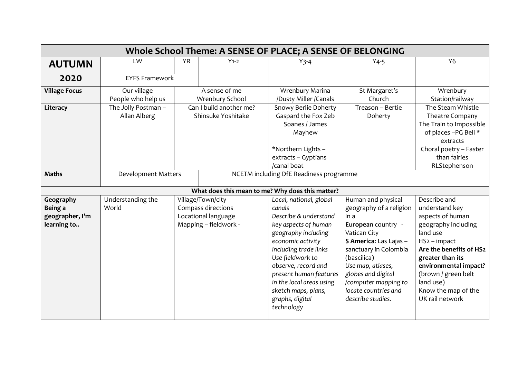| Whole School Theme: A SENSE OF PLACE; A SENSE OF BELONGING |                                     |                                                                                         |                                               |                                                                                                                                                                                                                                                                                                                  |                                                                                                                                                                                                                                                                               |                                                                                                                                                                                                                                                             |  |  |  |
|------------------------------------------------------------|-------------------------------------|-----------------------------------------------------------------------------------------|-----------------------------------------------|------------------------------------------------------------------------------------------------------------------------------------------------------------------------------------------------------------------------------------------------------------------------------------------------------------------|-------------------------------------------------------------------------------------------------------------------------------------------------------------------------------------------------------------------------------------------------------------------------------|-------------------------------------------------------------------------------------------------------------------------------------------------------------------------------------------------------------------------------------------------------------|--|--|--|
| <b>AUTUMN</b>                                              | LW                                  | <b>YR</b>                                                                               | $Y1-2$                                        | $Y$ 3-4                                                                                                                                                                                                                                                                                                          | $Y4-5$                                                                                                                                                                                                                                                                        | <b>Y6</b>                                                                                                                                                                                                                                                   |  |  |  |
| 2020                                                       | <b>EYFS Framework</b>               |                                                                                         |                                               |                                                                                                                                                                                                                                                                                                                  |                                                                                                                                                                                                                                                                               |                                                                                                                                                                                                                                                             |  |  |  |
| <b>Village Focus</b>                                       | Our village<br>People who help us   | A sense of me<br>Wrenbury School                                                        |                                               | Wrenbury Marina<br>/Dusty Miller /Canals                                                                                                                                                                                                                                                                         | St Margaret's<br>Church                                                                                                                                                                                                                                                       | Wrenbury<br>Station/railway                                                                                                                                                                                                                                 |  |  |  |
| Literacy                                                   | The Jolly Postman -<br>Allan Alberg |                                                                                         | Can I build another me?<br>Shinsuke Yoshitake | Snowy Berlie Doherty<br>Gaspard the Fox Zeb<br>Soanes / James<br>Mayhew<br>*Northern Lights -<br>extracts - Gyptians<br>/canal boat                                                                                                                                                                              | Treason - Bertie<br>Doherty                                                                                                                                                                                                                                                   | The Steam Whistle<br>Theatre Company<br>The Train to Impossible<br>of places -PG Bell *<br>extracts<br>Choral poetry - Faster<br>than fairies<br>RLStephenson                                                                                               |  |  |  |
| <b>Maths</b>                                               |                                     | <b>Development Matters</b>                                                              |                                               | NCETM including DfE Readiness programme                                                                                                                                                                                                                                                                          |                                                                                                                                                                                                                                                                               |                                                                                                                                                                                                                                                             |  |  |  |
|                                                            |                                     |                                                                                         |                                               | What does this mean to me? Why does this matter?                                                                                                                                                                                                                                                                 |                                                                                                                                                                                                                                                                               |                                                                                                                                                                                                                                                             |  |  |  |
| Geography<br>Being a<br>geographer, I'm<br>learning to     | Understanding the<br>World          | Village/Town/city<br>Compass directions<br>Locational language<br>Mapping - fieldwork - |                                               | Local, national, global<br>canals<br>Describe & understand<br>key aspects of human<br>geography including<br>economic activity<br>including trade links<br>Use fieldwork to<br>observe, record and<br>present human features<br>in the local areas using<br>sketch maps, plans,<br>graphs, digital<br>technology | Human and physical<br>geography of a religion<br>in a<br>European country -<br>Vatican City<br>S America: Las Lajas -<br>sanctuary in Colombia<br>(bascilica)<br>Use map, atlases,<br>globes and digital<br>/computer mapping to<br>locate countries and<br>describe studies. | Describe and<br>understand key<br>aspects of human<br>geography including<br>land use<br>HS2 - impact<br>Are the benefits of HS2<br>greater than its<br>environmental impact?<br>(brown / green belt<br>land use)<br>Know the map of the<br>UK rail network |  |  |  |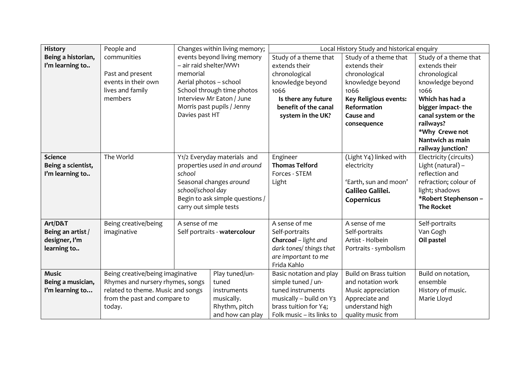| <b>History</b>     | People and                                                        |                                 | Changes within living memory; | Local History Study and historical enquiry |                               |                        |  |
|--------------------|-------------------------------------------------------------------|---------------------------------|-------------------------------|--------------------------------------------|-------------------------------|------------------------|--|
| Being a historian, | communities                                                       |                                 | events beyond living memory   | Study of a theme that                      | Study of a theme that         | Study of a theme that  |  |
| I'm learning to    |                                                                   | - air raid shelter/WW1          |                               | extends their                              | extends their                 | extends their          |  |
|                    | Past and present                                                  | memorial                        |                               | chronological                              | chronological                 | chronological          |  |
|                    | events in their own                                               | Aerial photos - school          |                               | knowledge beyond                           | knowledge beyond              | knowledge beyond       |  |
|                    | lives and family                                                  | School through time photos      |                               | 1066                                       | 1066                          | 1066                   |  |
|                    | members                                                           | Interview Mr Eaton / June       |                               | Is there any future                        | <b>Key Religious events:</b>  | Which has had a        |  |
|                    |                                                                   | Morris past pupils / Jenny      |                               | benefit of the canal                       | Reformation                   | bigger impact-the      |  |
|                    |                                                                   | Davies past HT                  |                               | system in the UK?                          | <b>Cause and</b>              | canal system or the    |  |
|                    |                                                                   |                                 |                               |                                            | consequence                   | railways?              |  |
|                    |                                                                   |                                 |                               |                                            |                               | *Why Crewe not         |  |
|                    |                                                                   |                                 |                               |                                            |                               | Nantwich as main       |  |
|                    |                                                                   |                                 |                               |                                            |                               | railway junction?      |  |
| <b>Science</b>     | The World                                                         |                                 | Y1/2 Everyday materials and   | Engineer                                   | (Light Y4) linked with        | Electricity (circuits) |  |
| Being a scientist, |                                                                   | properties used in and around   |                               | <b>Thomas Telford</b>                      | electricity                   | Light (natural) -      |  |
| I'm learning to    |                                                                   | school                          |                               | Forces - STEM                              |                               | reflection and         |  |
|                    |                                                                   | Seasonal changes around         |                               | Light                                      | 'Earth, sun and moon'         | refraction; colour of  |  |
|                    |                                                                   | school/school day               |                               |                                            | Galileo Galilei.              | light; shadows         |  |
|                    |                                                                   | Begin to ask simple questions / |                               |                                            | Copernicus                    | *Robert Stephenson -   |  |
|                    |                                                                   | carry out simple tests          |                               |                                            |                               | <b>The Rocket</b>      |  |
|                    |                                                                   |                                 |                               |                                            |                               |                        |  |
| Art/D&T            | Being creative/being                                              | A sense of me                   |                               | A sense of me                              | A sense of me                 | Self-portraits         |  |
| Being an artist /  | imaginative                                                       | Self portraits - watercolour    |                               | Self-portraits                             | Self-portraits                | Van Gogh               |  |
| designer, I'm      |                                                                   |                                 |                               | Charcoal - light and                       | Artist - Holbein              | Oil pastel             |  |
| learning to        |                                                                   |                                 |                               | dark tones/ things that                    | Portraits - symbolism         |                        |  |
|                    |                                                                   |                                 |                               | are important to me                        |                               |                        |  |
|                    |                                                                   |                                 |                               | Frida Kahlo                                |                               |                        |  |
| <b>Music</b>       | Being creative/being imaginative                                  |                                 | Play tuned/un-                | Basic notation and play                    | <b>Build on Brass tuition</b> | Build on notation,     |  |
| Being a musician,  | Rhymes and nursery rhymes, songs                                  |                                 | tuned                         | simple tuned / un-                         | and notation work             | ensemble               |  |
| I'm learning to    | related to theme. Music and songs<br>from the past and compare to |                                 | instruments                   | tuned instruments                          | Music appreciation            | History of music.      |  |
|                    |                                                                   |                                 | musically.                    | musically - build on Y3                    | Appreciate and                | Marie Lloyd            |  |
|                    | today.                                                            |                                 | Rhythm, pitch                 | brass tuition for Y4;                      | understand high               |                        |  |
|                    |                                                                   |                                 | and how can play              | Folk music - its links to                  | quality music from            |                        |  |